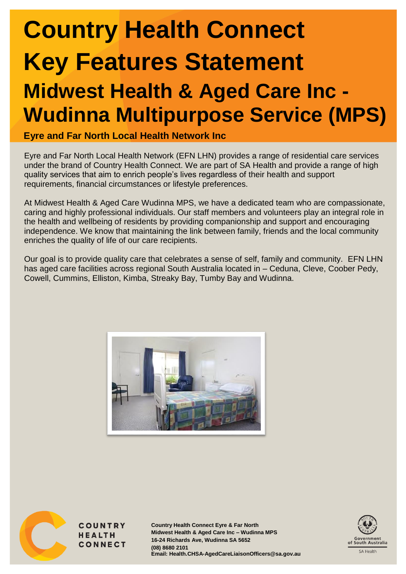# **Country Health Connect Key Features Statement Midwest Health & Aged Care Inc -**

# **Wudinna Multipurpose Service (MPS)**

**Eyre and Far North Local Health Network Inc**

Eyre and Far North Local Health Network (EFN LHN) provides a range of residential care services under the brand of Country Health Connect. We are part of SA Health and provide a range of high quality services that aim to enrich people's lives regardless of their health and support requirements, financial circumstances or lifestyle preferences.

At Midwest Health & Aged Care Wudinna MPS, we have a dedicated team who are compassionate, caring and highly professional individuals. Our staff members and volunteers play an integral role in the health and wellbeing of residents by providing companionship and support and encouraging independence. We know that maintaining the link between family, friends and the local community enriches the quality of life of our care recipients.

Our goal is to provide quality care that celebrates a sense of self, family and community. EFN LHN has aged care facilities across regional South Australia located in – Ceduna, Cleve, Coober Pedy, Cowell, Cummins, Elliston, Kimba, Streaky Bay, Tumby Bay and Wudinna.





**COUNTRY HEALTH CONNECT** 

**Country Health Connect Eyre & Far North Midwest Health & Aged Care Inc – Wudinna MPS 16-24 Richards Ave, Wudinna SA 5652 (08) 8680 2101 Email: Health.CHSA-AgedCareLiaisonOfficers@sa.gov.au**

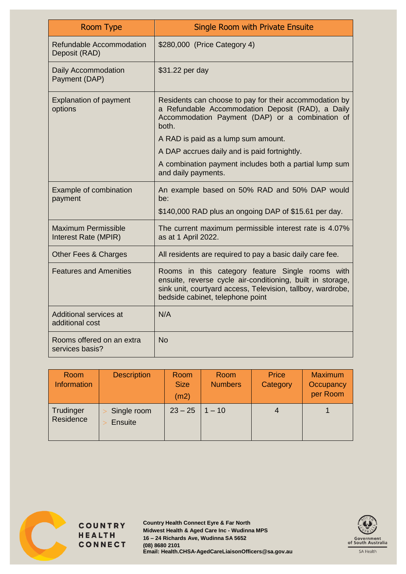| Room Type                                          | Single Room with Private Ensuite                                                                                                                                                                                  |  |  |
|----------------------------------------------------|-------------------------------------------------------------------------------------------------------------------------------------------------------------------------------------------------------------------|--|--|
| Refundable Accommodation<br>Deposit (RAD)          | \$280,000 (Price Category 4)                                                                                                                                                                                      |  |  |
| Daily Accommodation<br>Payment (DAP)               | \$31.22 per day                                                                                                                                                                                                   |  |  |
| <b>Explanation of payment</b><br>options           | Residents can choose to pay for their accommodation by<br>a Refundable Accommodation Deposit (RAD), a Daily<br>Accommodation Payment (DAP) or a combination of<br>both.<br>A RAD is paid as a lump sum amount.    |  |  |
|                                                    | A DAP accrues daily and is paid fortnightly.                                                                                                                                                                      |  |  |
|                                                    | A combination payment includes both a partial lump sum<br>and daily payments.                                                                                                                                     |  |  |
| <b>Example of combination</b><br>payment           | An example based on 50% RAD and 50% DAP would<br>be:<br>\$140,000 RAD plus an ongoing DAP of \$15.61 per day.                                                                                                     |  |  |
| <b>Maximum Permissible</b><br>Interest Rate (MPIR) | The current maximum permissible interest rate is 4.07%<br>as at 1 April 2022.                                                                                                                                     |  |  |
| Other Fees & Charges                               | All residents are required to pay a basic daily care fee.                                                                                                                                                         |  |  |
| <b>Features and Amenities</b>                      | Rooms in this category feature Single rooms with<br>ensuite, reverse cycle air-conditioning, built in storage,<br>sink unit, courtyard access, Television, tallboy, wardrobe,<br>bedside cabinet, telephone point |  |  |
| Additional services at<br>additional cost          | N/A                                                                                                                                                                                                               |  |  |
| Rooms offered on an extra<br>services basis?       | <b>No</b>                                                                                                                                                                                                         |  |  |

| Room<br><b>Information</b> | <b>Description</b>     | Room<br><b>Size</b><br>(m2) | Room<br><b>Numbers</b> | Price<br>Category | <b>Maximum</b><br>Occupancy<br>per Room |
|----------------------------|------------------------|-----------------------------|------------------------|-------------------|-----------------------------------------|
| Trudinger<br>Residence     | Single room<br>Ensuite | $23 - 25$                   | $1 - 10$               | $\overline{4}$    |                                         |